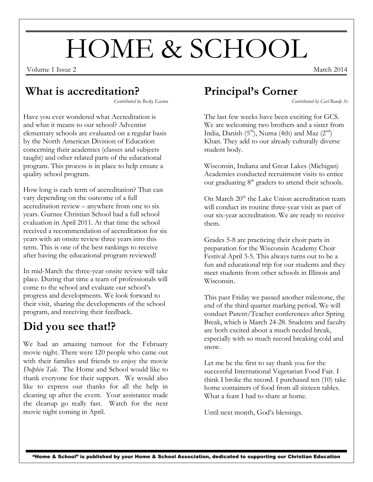# HOME & SCHOOL

Volume 1 Issue 2 March 2014

#### **What is accreditation?**

*Contributed by Becky Easton*

Have you ever wondered what Accreditation is and what it means to our school? Adventist elementary schools are evaluated on a regular basis by the North American Division of Education concerning their academics (classes and subjects taught) and other related parts of the educational program. This process is in place to help ensure a quality school program.

How long is each term of accreditation? That can vary depending on the outcome of a full accreditation review – anywhere from one to six years. Gurnee Christian School had a full school evaluation in April 2011. At that time the school received a recommendation of accreditation for six years with an onsite review three years into this term. This is one of the best rankings to receive after having the educational program reviewed!

In mid-March the three-year onsite review will take place. During that time a team of professionals will come to the school and evaluate our school's progress and developments. We look forward to their visit, sharing the developments of the school program, and receiving their feedback.

## **Did you see that!?**

We had an amazing turnout for the February movie night. There were 120 people who came out with their families and friends to enjoy the movie *Dolphin Tale.* The Home and School would like to thank everyone for their support. We would also like to express our thanks for all the help in cleaning up after the event. Your assistance made the cleanup go really fast. Watch for the next movie night coming in April.

# **Principal's Corner**

*Contributed by Carl Bandy Sr.*

The last few weeks have been exciting for GCS. We are welcoming two brothers and a sister from India, Danish  $(5<sup>th</sup>)$ , Numa (4th) and Maz  $(2<sup>nd</sup>)$ Khan. They add to our already culturally diverse student body.

Wisconsin, Indiana and Great Lakes (Michigan) Academies conducted recruitment visits to entice our graduating  $8<sup>th</sup>$  graders to attend their schools.

On March  $20<sup>th</sup>$  the Lake Union accreditation team will conduct its routine three-year visit as part of our six-year accreditation. We are ready to receive them.

Grades 5-8 are practicing their choir parts in preparation for the Wisconsin Academy Choir Festival April 3-5. This always turns out to be a fun and educational trip for our students and they meet students from other schools in Illinois and Wisconsin.

This past Friday we passed another milestone, the end of the third quarter marking period. We will conduct Parent/Teacher conferences after Spring Break, which is March 24-28. Students and faculty are both excited about a much needed break, especially with so much record breaking cold and snow.

Let me be the first to say thank you for the successful International Vegetarian Food Fair. I think I broke the record. I purchased ten (10) take home containers of food from all sixteen tables. What a feast I had to share at home.

Until next month, God's blessings.